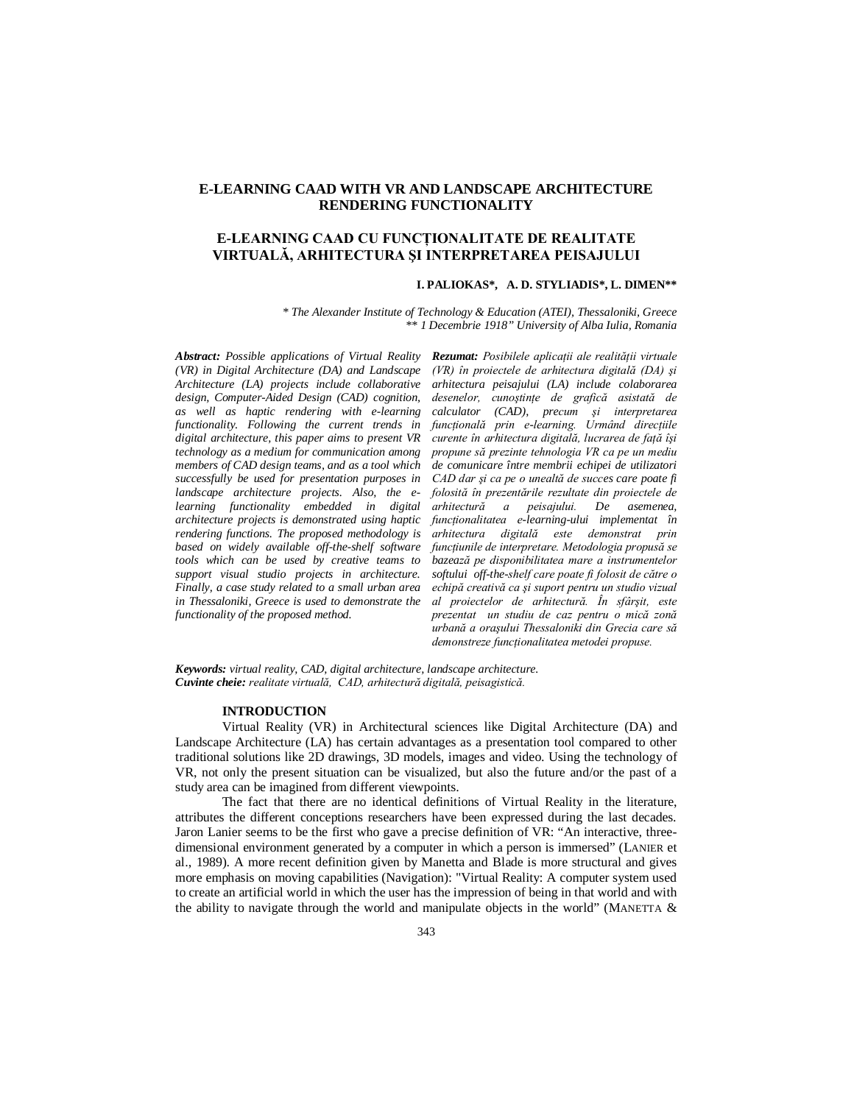# **E-LEARNING CAAD WITH VR AND LANDSCAPE ARCHITECTURE RENDERING FUNCTIONALITY**

# **E-LEARNING CAAD CU FUNCŢIONALITATE DE REALITATE VIRTUALĂ, ARHITECTURA ŞI INTERPRETAREA PEISAJULUI**

## **I. PALIOKAS\*, A. D. STYLIADIS\*, L. DIMEN\*\***

*\* The Alexander Institute of Technology & Education (ATEI), Thessaloniki, Greece \*\* 1 Decembrie 1918" University of Alba Iulia, Romania*

*Abstract: Possible applications of Virtual Reality (VR) in Digital Architecture (DA) and Landscape Architecture (LA) projects include collaborative design, Computer-Aided Design (CAD) cognition, as well as haptic rendering with e-learning functionality. Following the current trends in digital architecture, this paper aims to present VR technology as a medium for communication among members of CAD design teams, and as a tool which successfully be used for presentation purposes in landscape architecture projects. Also, the elearning functionality embedded in digital architecture projects is demonstrated using haptic rendering functions. The proposed methodology is based on widely available off-the-shelf software tools which can be used by creative teams to support visual studio projects in architecture. Finally, a case study related to a small urban area in Thessaloniki, Greece is used to demonstrate the functionality of the proposed method.*

*Rezumat: Posibilele aplicaţii ale realităţii virtuale (VR) în proiectele de arhitectura digitală (DA) şi arhitectura peisajului (LA) include colaborarea desenelor, cunoştinţe de grafică asistată de calculator (CAD), precum şi interpretarea funcţională prin e-learning. Urmând direcţiile curente în arhitectura digitală, lucrarea de faţă îşi propune să prezinte tehnologia VR ca pe un mediu de comunicare între membrii echipei de utilizatori CAD dar şi ca pe o unealtă de succes care poate fi folosită în prezentările rezultate din proiectele de arhitectură a peisajului. De asemenea, funcţionalitatea e-learning-ului implementat în arhitectura digitală este demonstrat prin funcţiunile de interpretare. Metodologia propusă se bazează pe disponibilitatea mare a instrumentelor softului off-the-shelf care poate fi folosit de către o echipă creativă ca şi suport pentru un studio vizual al proiectelor de arhitectură. În sfârşit, este prezentat un studiu de caz pentru o mică zonă urbană a oraşului Thessaloniki din Grecia care să demonstreze funcţionalitatea metodei propuse.*

*Keywords: virtual reality, CAD, digital architecture, landscape architecture. Cuvinte cheie: realitate virtuală, CAD, arhitectură digitală, peisagistică.*

### **INTRODUCTION**

Virtual Reality (VR) in Architectural sciences like Digital Architecture (DA) and Landscape Architecture (LA) has certain advantages as a presentation tool compared to other traditional solutions like 2D drawings, 3D models, images and video. Using the technology of VR, not only the present situation can be visualized, but also the future and/or the past of a study area can be imagined from different viewpoints.

The fact that there are no identical definitions of Virtual Reality in the literature, attributes the different conceptions researchers have been expressed during the last decades. Jaron Lanier seems to be the first who gave a precise definition of VR: "An interactive, threedimensional environment generated by a computer in which a person is immersed" (LANIER et al., 1989). A more recent definition given by Manetta and Blade is more structural and gives more emphasis on moving capabilities (Navigation): "Virtual Reality: A computer system used to create an artificial world in which the user has the impression of being in that world and with the ability to navigate through the world and manipulate objects in the world" (MANETTA  $\&$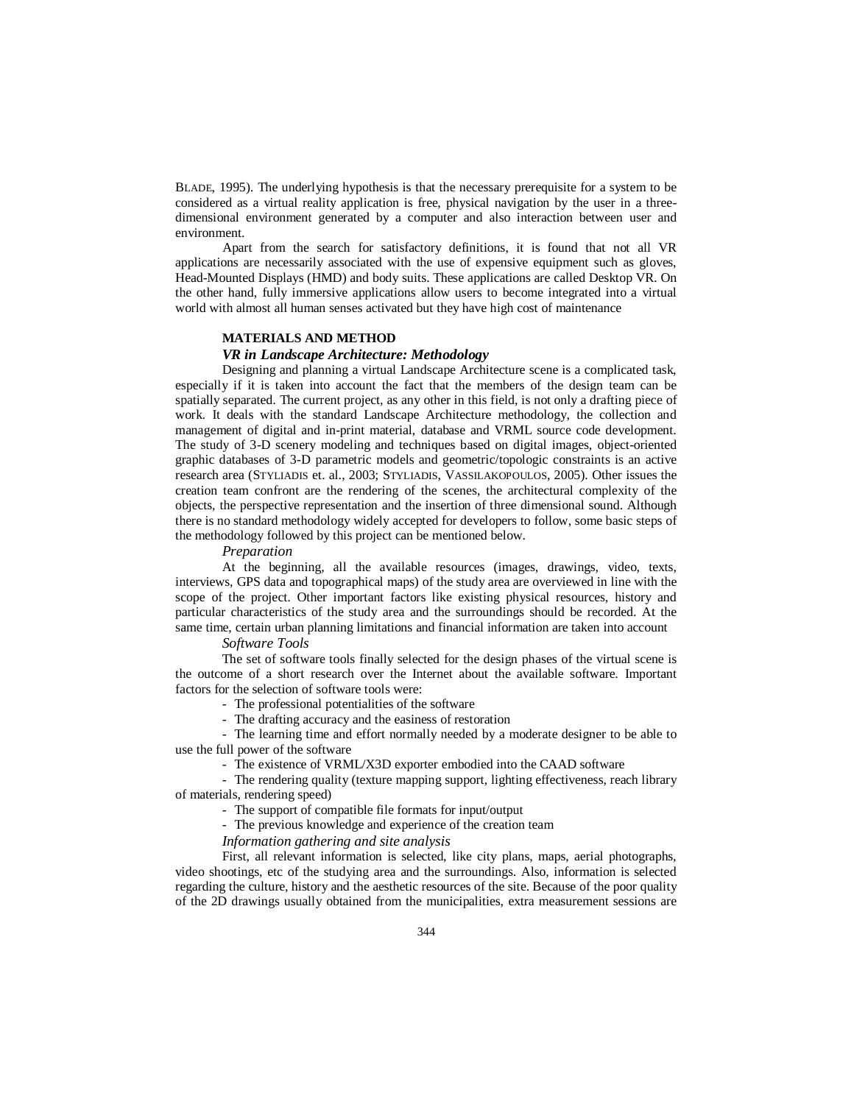BLADE, 1995). The underlying hypothesis is that the necessary prerequisite for a system to be considered as a virtual reality application is free, physical navigation by the user in a threedimensional environment generated by a computer and also interaction between user and environment.

Apart from the search for satisfactory definitions, it is found that not all VR applications are necessarily associated with the use of expensive equipment such as gloves, Head-Mounted Displays (HMD) and body suits. These applications are called Desktop VR. On the other hand, fully immersive applications allow users to become integrated into a virtual world with almost all human senses activated but they have high cost of maintenance

#### **MATERIALS AND METHOD**

### *VR in Landscape Architecture: Methodology*

Designing and planning a virtual Landscape Architecture scene is a complicated task, especially if it is taken into account the fact that the members of the design team can be spatially separated. The current project, as any other in this field, is not only a drafting piece of work. It deals with the standard Landscape Architecture methodology, the collection and management of digital and in-print material, database and VRML source code development. The study of 3-D scenery modeling and techniques based on digital images, object-oriented graphic databases of 3-D parametric models and geometric/topologic constraints is an active research area (STYLIADIS et. al., 2003; STYLIADIS, VASSILAKOPOULOS, 2005). Other issues the creation team confront are the rendering of the scenes, the architectural complexity of the objects, the perspective representation and the insertion of three dimensional sound. Although there is no standard methodology widely accepted for developers to follow, some basic steps of the methodology followed by this project can be mentioned below.

### *Preparation*

At the beginning, all the available resources (images, drawings, video, texts, interviews, GPS data and topographical maps) of the study area are overviewed in line with the scope of the project. Other important factors like existing physical resources, history and particular characteristics of the study area and the surroundings should be recorded. At the same time, certain urban planning limitations and financial information are taken into account

#### *Software Tools*

The set of software tools finally selected for the design phases of the virtual scene is the outcome of a short research over the Internet about the available software. Important factors for the selection of software tools were:

- The professional potentialities of the software
- The drafting accuracy and the easiness of restoration

- The learning time and effort normally needed by a moderate designer to be able to use the full power of the software

- The existence of VRML/X3D exporter embodied into the CAAD software

- The rendering quality (texture mapping support, lighting effectiveness, reach library of materials, rendering speed)

- The support of compatible file formats for input/output

- The previous knowledge and experience of the creation team

*Information gathering and site analysis*

First, all relevant information is selected, like city plans, maps, aerial photographs, video shootings, etc of the studying area and the surroundings. Also, information is selected regarding the culture, history and the aesthetic resources of the site. Because of the poor quality of the 2D drawings usually obtained from the municipalities, extra measurement sessions are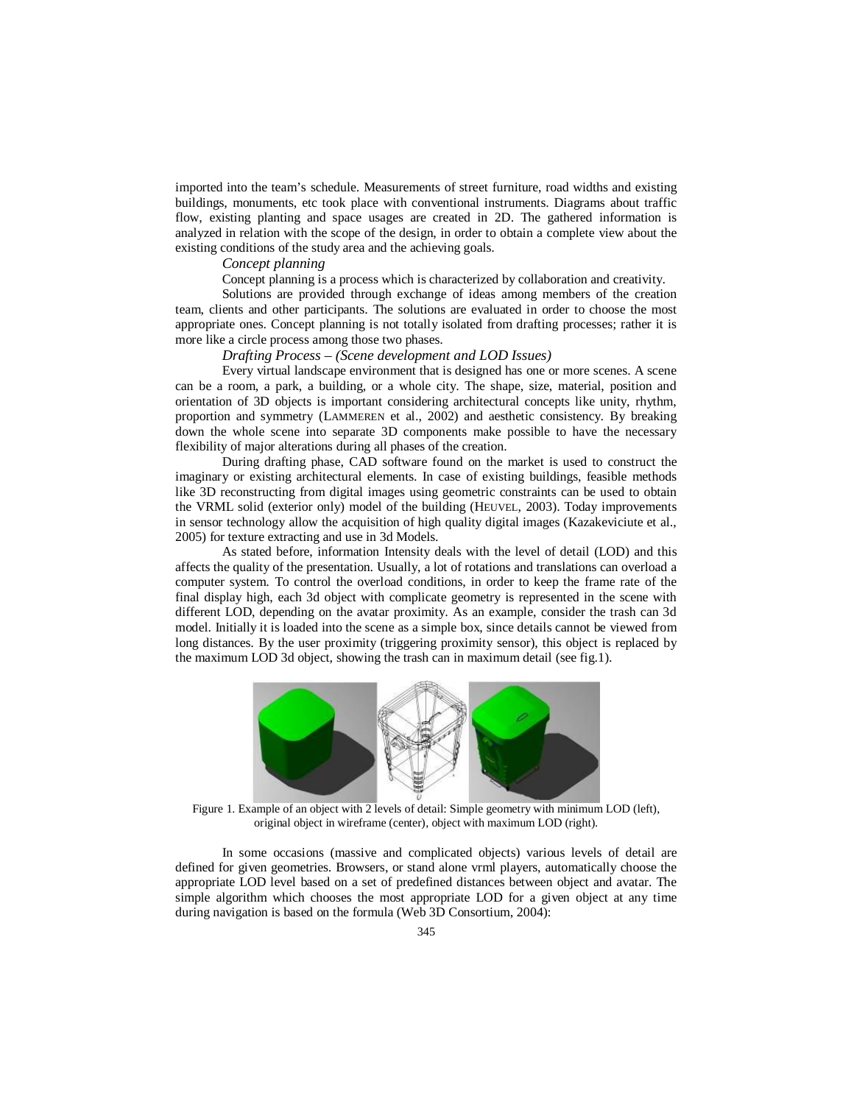imported into the team's schedule. Measurements of street furniture, road widths and existing buildings, monuments, etc took place with conventional instruments. Diagrams about traffic flow, existing planting and space usages are created in 2D. The gathered information is analyzed in relation with the scope of the design, in order to obtain a complete view about the existing conditions of the study area and the achieving goals.

# *Concept planning*

Concept planning is a process which is characterized by collaboration and creativity.

Solutions are provided through exchange of ideas among members of the creation team, clients and other participants. The solutions are evaluated in order to choose the most appropriate ones. Concept planning is not totally isolated from drafting processes; rather it is more like a circle process among those two phases.

*Drafting Process – (Scene development and LOD Issues)*

Every virtual landscape environment that is designed has one or more scenes. A scene can be a room, a park, a building, or a whole city. The shape, size, material, position and orientation of 3D objects is important considering architectural concepts like unity, rhythm, proportion and symmetry (LAMMEREN et al., 2002) and aesthetic consistency. By breaking down the whole scene into separate 3D components make possible to have the necessary flexibility of major alterations during all phases of the creation.

During drafting phase, CAD software found on the market is used to construct the imaginary or existing architectural elements. In case of existing buildings, feasible methods like 3D reconstructing from digital images using geometric constraints can be used to obtain the VRML solid (exterior only) model of the building (HEUVEL, 2003). Today improvements in sensor technology allow the acquisition of high quality digital images (Kazakeviciute et al., 2005) for texture extracting and use in 3d Models.

As stated before, information Intensity deals with the level of detail (LOD) and this affects the quality of the presentation. Usually, a lot of rotations and translations can overload a computer system. To control the overload conditions, in order to keep the frame rate of the final display high, each 3d object with complicate geometry is represented in the scene with different LOD, depending on the avatar proximity. As an example, consider the trash can 3d model. Initially it is loaded into the scene as a simple box, since details cannot be viewed from long distances. By the user proximity (triggering proximity sensor), this object is replaced by the maximum LOD 3d object, showing the trash can in maximum detail (see fig.1).



Figure 1. Example of an object with 2 levels of detail: Simple geometry with minimum LOD (left), original object in wireframe (center), object with maximum LOD (right).

In some occasions (massive and complicated objects) various levels of detail are defined for given geometries. Browsers, or stand alone vrml players, automatically choose the appropriate LOD level based on a set of predefined distances between object and avatar. The simple algorithm which chooses the most appropriate LOD for a given object at any time during navigation is based on the formula (Web 3D Consortium, 2004):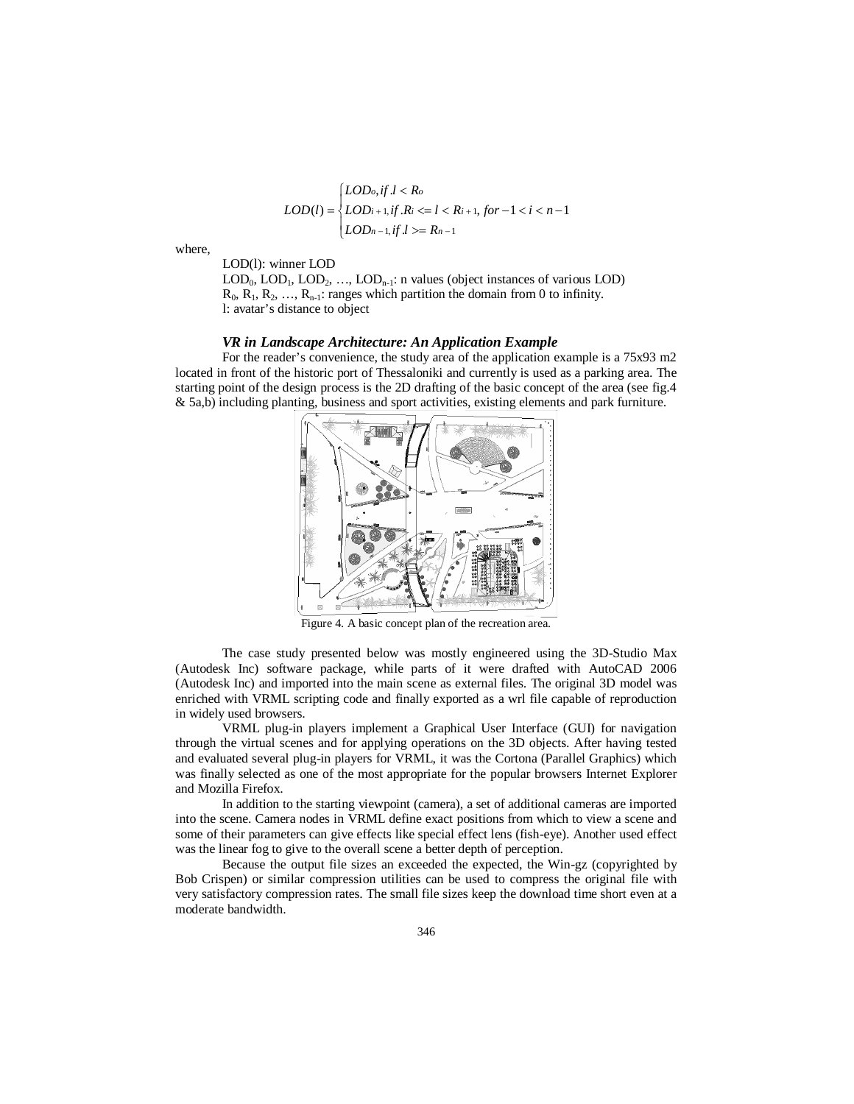$$
LOD(l) = \begin{cases} LOD_{o}, if l < R_{o} \\ LOD_{i+1}, if R_{i} <= l < R_{i+1}, for -1 < i < n-1 \\ LOD_{n-1}, if l >= R_{n-1} \end{cases}
$$

where,

LOD(l): winner LOD

 $\text{LOD}_0$ ,  $\text{LOD}_1$ ,  $\text{LOD}_2$ , ...,  $\text{LOD}_{n-1}$ : n values (object instances of various  $\text{LOD}$ )  $R_0, R_1, R_2, \ldots, R_{n-1}$ : ranges which partition the domain from 0 to infinity. l: avatar's distance to object

#### *VR in Landscape Architecture: An Application Example*

For the reader's convenience, the study area of the application example is a 75x93 m2 located in front of the historic port of Thessaloniki and currently is used as a parking area. The starting point of the design process is the 2D drafting of the basic concept of the area (see fig.4 & 5a,b) including planting, business and sport activities, existing elements and park furniture.



Figure 4. A basic concept plan of the recreation area.

The case study presented below was mostly engineered using the 3D-Studio Max (Autodesk Inc) software package, while parts of it were drafted with AutoCAD 2006 (Autodesk Inc) and imported into the main scene as external files. The original 3D model was enriched with VRML scripting code and finally exported as a wrl file capable of reproduction in widely used browsers.

VRML plug-in players implement a Graphical User Interface (GUI) for navigation through the virtual scenes and for applying operations on the 3D objects. After having tested and evaluated several plug-in players for VRML, it was the Cortona (Parallel Graphics) which was finally selected as one of the most appropriate for the popular browsers Internet Explorer and Mozilla Firefox.

In addition to the starting viewpoint (camera), a set of additional cameras are imported into the scene. Camera nodes in VRML define exact positions from which to view a scene and some of their parameters can give effects like special effect lens (fish-eye). Another used effect was the linear fog to give to the overall scene a better depth of perception.

Because the output file sizes an exceeded the expected, the Win-gz (copyrighted by Bob Crispen) or similar compression utilities can be used to compress the original file with very satisfactory compression rates. The small file sizes keep the download time short even at a moderate bandwidth.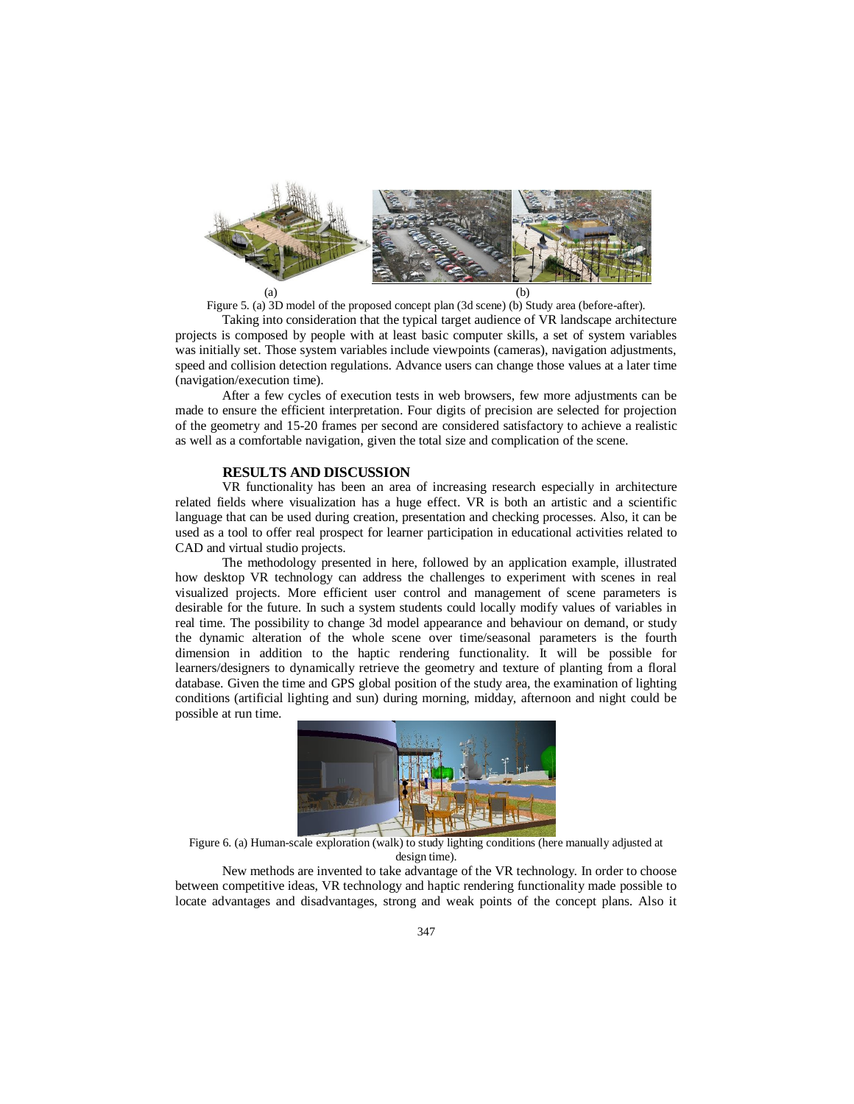

Figure 5. (a) 3D model of the proposed concept plan (3d scene) (b) Study area (before-after).

Taking into consideration that the typical target audience of VR landscape architecture projects is composed by people with at least basic computer skills, a set of system variables was initially set. Those system variables include viewpoints (cameras), navigation adjustments, speed and collision detection regulations. Advance users can change those values at a later time (navigation/execution time).

After a few cycles of execution tests in web browsers, few more adjustments can be made to ensure the efficient interpretation. Four digits of precision are selected for projection of the geometry and 15-20 frames per second are considered satisfactory to achieve a realistic as well as a comfortable navigation, given the total size and complication of the scene.

### **RESULTS AND DISCUSSION**

VR functionality has been an area of increasing research especially in architecture related fields where visualization has a huge effect. VR is both an artistic and a scientific language that can be used during creation, presentation and checking processes. Also, it can be used as a tool to offer real prospect for learner participation in educational activities related to CAD and virtual studio projects.

The methodology presented in here, followed by an application example, illustrated how desktop VR technology can address the challenges to experiment with scenes in real visualized projects. More efficient user control and management of scene parameters is desirable for the future. In such a system students could locally modify values of variables in real time. The possibility to change 3d model appearance and behaviour on demand, or study the dynamic alteration of the whole scene over time/seasonal parameters is the fourth dimension in addition to the haptic rendering functionality. It will be possible for learners/designers to dynamically retrieve the geometry and texture of planting from a floral database. Given the time and GPS global position of the study area, the examination of lighting conditions (artificial lighting and sun) during morning, midday, afternoon and night could be possible at run time.



Figure 6. (a) Human-scale exploration (walk) to study lighting conditions (here manually adjusted at design time).

New methods are invented to take advantage of the VR technology. In order to choose between competitive ideas, VR technology and haptic rendering functionality made possible to locate advantages and disadvantages, strong and weak points of the concept plans. Also it